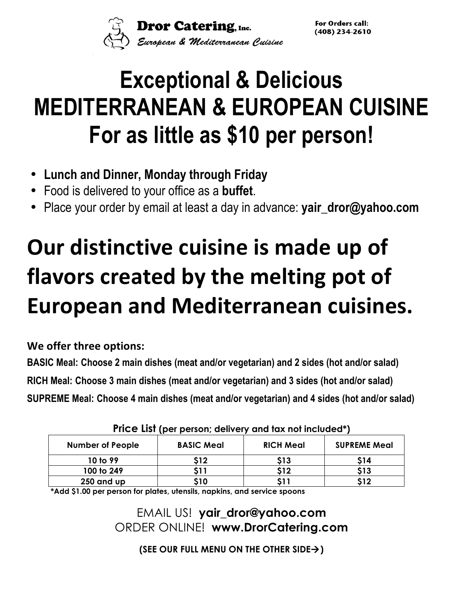**Dror Catering**, Inc.<br>European & Mediterranean Cuisine

For Orders call:  $(408)$  234-2610

# **Exceptional & Delicious MEDITERRANEAN & EUROPEAN CUISINE For as little as \$10 per person!**

- **Lunch and Dinner, Monday through Friday**
- Food is delivered to your office as a **buffet**.
- Place your order by email at least a day in advance: **yair\_dror@yahoo.com**

# **Our distinctive cuisine is made up of flavors created by the melting pot of European and Mediterranean cuisines.**

**We offer three options:**

**BASIC Meal: Choose 2 main dishes (meat and/or vegetarian) and 2 sides (hot and/or salad) RICH Meal: Choose 3 main dishes (meat and/or vegetarian) and 3 sides (hot and/or salad) SUPREME Meal: Choose 4 main dishes (meat and/or vegetarian) and 4 sides (hot and/or salad)**

| <b>Number of People</b> | <b>BASIC Meal</b> | <b>RICH Meal</b> | <b>SUPREME Meal</b> |
|-------------------------|-------------------|------------------|---------------------|
| 10 to 99                | \$12              | S13              | \$14                |
| 100 to 249              | 511               | S12              | \$13                |
| 250 and up              | \$10              |                  | <b>&lt;12</b>       |

**Price List (per person; delivery and tax not included\*)**

**\*Add \$1.00 per person for plates, utensils, napkins, and service spoons**

EMAIL US! **yair\_dror@yahoo.com** ORDER ONLINE! **www.DrorCatering.com**

**(SEE OUR FULL MENU ON THE OTHER SIDE**à**)**